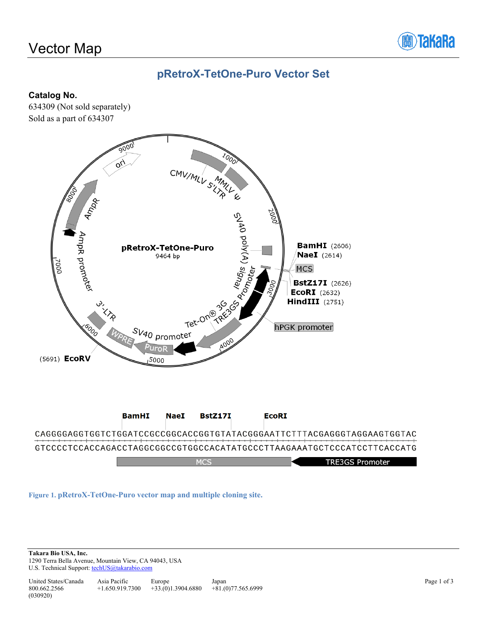# Vector Map



## **pRetroX-TetOne-Puro Vector Set**

#### **Catalog No.**

634309 (Not sold separately) Sold as a part of 634307



CAGGGGAGGTGGTCTGGATCCGCCGGCACCGGTGTATACGGGAATTCTTTACGAGGGTAGGAAGTGGTAC GTCCCCTCCACCAGACCTAGGCGGCCGTGGCCACATATGCCCTTAAGAAATGCTCCCATCCTTCACCATG **TRE3GS Promoter**  $MC<$ 

**Figure 1. pRetroX-TetOne-Puro vector map and multiple cloning site.**

**Takara Bio USA, Inc.**  1290 Terra Bella Avenue, Mountain View, CA 94043, USA U.S. Technical Support[: techUS@takarabio.com](mailto:techUS@takarabio.com)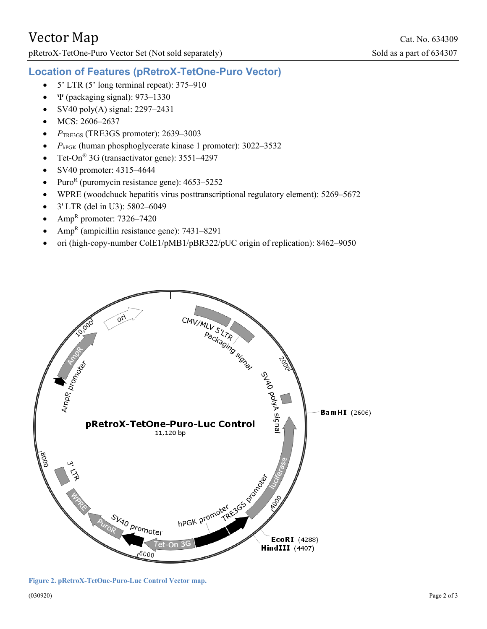pRetroX-TetOne-Puro Vector Set (Not sold separately)

#### **Location of Features (pRetroX-TetOne-Puro Vector)**

- $5'$  LTR (5' long terminal repeat): 375–910
- $\Psi$  (packaging signal): 973–1330
- SV40 poly(A) signal:  $2297-2431$
- MCS: 2606-2637
- *P*TRE3GS (TRE3GS promoter): 2639–3003
- $P_{hPGK}$  (human phosphoglycerate kinase 1 promoter): 3022–3532
- Tet-On<sup>®</sup> 3G (transactivator gene): 3551–4297
- SV40 promoter: 4315–4644
- Puro<sup>R</sup> (puromycin resistance gene):  $4653-5252$
- WPRE (woodchuck hepatitis virus posttranscriptional regulatory element): 5269–5672
- 3' LTR (del in U3): 5802–6049
- Amp<sup>R</sup> promoter:  $7326 7420$
- $Amp<sup>R</sup>$  (ampicillin resistance gene): 7431–8291
- ori (high-copy-number ColE1/pMB1/pBR322/pUC origin of replication): 8462–9050



**Figure 2. pRetroX-TetOne-Puro-Luc Control Vector map.**